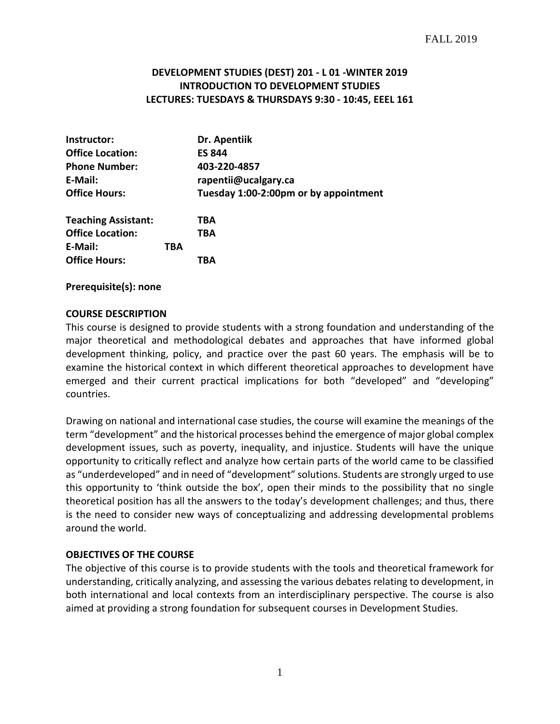# **DEVELOPMENT STUDIES (DEST) 201 - L 01 -WINTER 2019 INTRODUCTION TO DEVELOPMENT STUDIES LECTURES: TUESDAYS & THURSDAYS 9:30 - 10:45, EEEL 161**

| Instructor:                |     | Dr. Apentiik                          |
|----------------------------|-----|---------------------------------------|
| <b>Office Location:</b>    |     | <b>ES 844</b>                         |
| <b>Phone Number:</b>       |     | 403-220-4857                          |
| E-Mail:                    |     | rapentii@ucalgary.ca                  |
| <b>Office Hours:</b>       |     | Tuesday 1:00-2:00pm or by appointment |
| <b>Teaching Assistant:</b> |     | TBA                                   |
| <b>Office Location:</b>    |     | TBA                                   |
| E-Mail:                    | TBA |                                       |
| <b>Office Hours:</b>       |     | TBA                                   |

**Prerequisite(s): none**

#### **COURSE DESCRIPTION**

This course is designed to provide students with a strong foundation and understanding of the major theoretical and methodological debates and approaches that have informed global development thinking, policy, and practice over the past 60 years. The emphasis will be to examine the historical context in which different theoretical approaches to development have emerged and their current practical implications for both "developed" and "developing" countries.

Drawing on national and international case studies, the course will examine the meanings of the term "development" and the historical processes behind the emergence of major global complex development issues, such as poverty, inequality, and injustice. Students will have the unique opportunity to critically reflect and analyze how certain parts of the world came to be classified as "underdeveloped" and in need of "development" solutions. Students are strongly urged to use this opportunity to 'think outside the box', open their minds to the possibility that no single theoretical position has all the answers to the today's development challenges; and thus, there is the need to consider new ways of conceptualizing and addressing developmental problems around the world.

#### **OBJECTIVES OF THE COURSE**

The objective of this course is to provide students with the tools and theoretical framework for understanding, critically analyzing, and assessing the various debates relating to development, in both international and local contexts from an interdisciplinary perspective. The course is also aimed at providing a strong foundation for subsequent courses in Development Studies.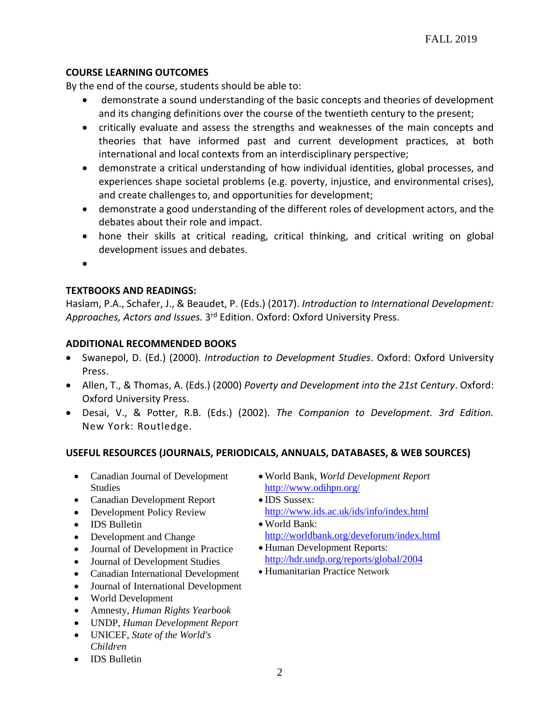# **COURSE LEARNING OUTCOMES**

By the end of the course, students should be able to:

- demonstrate a sound understanding of the basic concepts and theories of development and its changing definitions over the course of the twentieth century to the present;
- critically evaluate and assess the strengths and weaknesses of the main concepts and theories that have informed past and current development practices, at both international and local contexts from an interdisciplinary perspective;
- demonstrate a critical understanding of how individual identities, global processes, and experiences shape societal problems (e.g. poverty, injustice, and environmental crises), and create challenges to, and opportunities for development;
- demonstrate a good understanding of the different roles of development actors, and the debates about their role and impact.
- hone their skills at critical reading, critical thinking, and critical writing on global development issues and debates.
- •

# **TEXTBOOKS AND READINGS:**

Haslam, P.A., Schafer, J., & Beaudet, P. (Eds.) (2017). *Introduction to International Development: Approaches, Actors and Issues.* 3rd Edition. Oxford: Oxford University Press.

# **ADDITIONAL RECOMMENDED BOOKS**

- Swanepol, D. (Ed.) (2000). *Introduction to Development Studies*. Oxford: Oxford University Press.
- Allen, T., & Thomas, A. (Eds.) (2000) *Poverty and Development into the 21st Century*. Oxford: Oxford University Press.
- Desai, V., & Potter, R.B. (Eds.) (2002). *The Companion to Development. 3rd Edition.*  New York: Routledge.

## **USEFUL RESOURCES (JOURNALS, PERIODICALS, ANNUALS, DATABASES, & WEB SOURCES)**

- Canadian Journal of Development Studies
- Canadian Development Report
- Development Policy Review
- IDS Bulletin
- Development and Change
- Journal of Development in Practice
- Journal of Development Studies
- Canadian International Development
- Journal of International Development
- World Development
- Amnesty, *Human Rights Yearbook*
- UNDP, *Human Development Report*
- UNICEF, *State of the World's Children*
- IDS Bulletin
- World Bank, *World Development Report*  <http://www.odihpn.org/>
- IDS Sussex: <http://www.ids.ac.uk/ids/info/index.html>
- World Bank: <http://worldbank.org/deveforum/index.html>
- Human Development Reports: <http://hdr.undp.org/reports/global/2004>
- Humanitarian Practice Network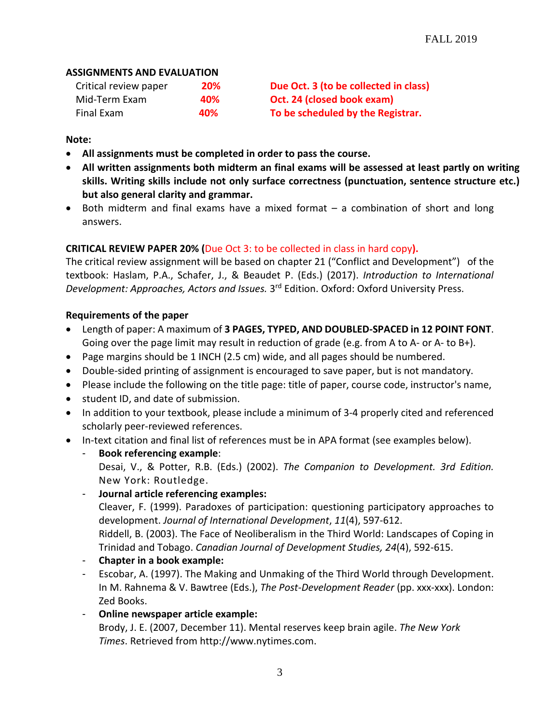## **ASSIGNMENTS AND EVALUATION**

| Critical review paper | <b>20%</b> | Due Oct. 3 (to be collected in class) |
|-----------------------|------------|---------------------------------------|
| Mid-Term Exam         | 40%        | Oct. 24 (closed book exam)            |
| Final Exam            | 40%        | To be scheduled by the Registrar.     |

## **Note:**

- **All assignments must be completed in order to pass the course.**
- **All written assignments both midterm an final exams will be assessed at least partly on writing skills. Writing skills include not only surface correctness (punctuation, sentence structure etc.) but also general clarity and grammar.**
- Both midterm and final exams have a mixed format a combination of short and long answers.

# **CRITICAL REVIEW PAPER 20% (**Due Oct 3: to be collected in class in hard copy**).**

The critical review assignment will be based on chapter 21 ("Conflict and Development") of the textbook: Haslam, P.A., Schafer, J., & Beaudet P. (Eds.) (2017). *Introduction to International Development: Approaches, Actors and Issues.* 3rd Edition. Oxford: Oxford University Press.

## **Requirements of the paper**

- Length of paper: A maximum of **3 PAGES, TYPED, AND DOUBLED-SPACED in 12 POINT FONT**. Going over the page limit may result in reduction of grade (e.g. from A to A- or A- to B+).
- Page margins should be 1 INCH (2.5 cm) wide, and all pages should be numbered.
- Double-sided printing of assignment is encouraged to save paper, but is not mandatory.
- Please include the following on the title page: title of paper, course code, instructor's name,
- student ID, and date of submission.
- In addition to your textbook, please include a minimum of 3-4 properly cited and referenced scholarly peer-reviewed references.
- In-text citation and final list of references must be in APA format (see examples below).
	- **Book referencing example**: Desai, V., & Potter, R.B. (Eds.) (2002). *The Companion to Development. 3rd Edition.*  New York: Routledge.
	- **Journal article referencing examples:**

Cleaver, F. (1999). Paradoxes of participation: questioning participatory approaches to development. *Journal of International Development*, *11*(4), 597-612.

Riddell, B. (2003). The Face of Neoliberalism in the Third World: Landscapes of Coping in Trinidad and Tobago. *Canadian Journal of Development Studies, 24*(4), 592-615.

- **Chapter in a book example:**
- Escobar, A. (1997). The Making and Unmaking of the Third World through Development. In M. Rahnema & V. Bawtree (Eds.), *The Post-Development Reader* (pp. xxx-xxx). London: Zed Books.
- **Online newspaper article example:** Brody, J. E. (2007, December 11). Mental reserves keep brain agile. *The New York Times*. Retrieved from http://www.nytimes.com.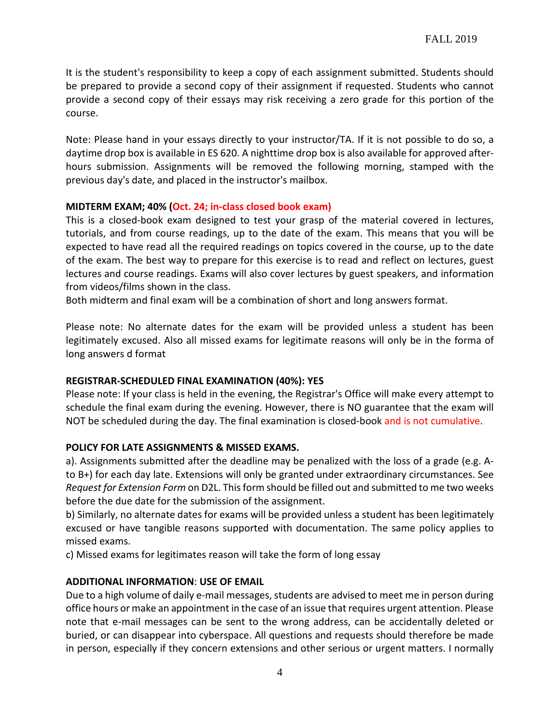It is the student's responsibility to keep a copy of each assignment submitted. Students should be prepared to provide a second copy of their assignment if requested. Students who cannot provide a second copy of their essays may risk receiving a zero grade for this portion of the course.

Note: Please hand in your essays directly to your instructor/TA. If it is not possible to do so, a daytime drop box is available in ES 620. A nighttime drop box is also available for approved afterhours submission. Assignments will be removed the following morning, stamped with the previous day's date, and placed in the instructor's mailbox.

#### **MIDTERM EXAM; 40% (Oct. 24; in-class closed book exam)**

This is a closed-book exam designed to test your grasp of the material covered in lectures, tutorials, and from course readings, up to the date of the exam. This means that you will be expected to have read all the required readings on topics covered in the course, up to the date of the exam. The best way to prepare for this exercise is to read and reflect on lectures, guest lectures and course readings. Exams will also cover lectures by guest speakers, and information from videos/films shown in the class.

Both midterm and final exam will be a combination of short and long answers format.

Please note: No alternate dates for the exam will be provided unless a student has been legitimately excused. Also all missed exams for legitimate reasons will only be in the forma of long answers d format

## **REGISTRAR-SCHEDULED FINAL EXAMINATION (40%): YES**

Please note: If your class is held in the evening, the Registrar's Office will make every attempt to schedule the final exam during the evening. However, there is NO guarantee that the exam will NOT be scheduled during the day. The final examination is closed-book and is not cumulative.

## **POLICY FOR LATE ASSIGNMENTS & MISSED EXAMS.**

a). Assignments submitted after the deadline may be penalized with the loss of a grade (e.g. Ato B+) for each day late. Extensions will only be granted under extraordinary circumstances. See *Request for Extension Form* on D2L. This form should be filled out and submitted to me two weeks before the due date for the submission of the assignment.

b) Similarly, no alternate dates for exams will be provided unless a student has been legitimately excused or have tangible reasons supported with documentation. The same policy applies to missed exams.

c) Missed exams for legitimates reason will take the form of long essay

## **ADDITIONAL INFORMATION**: **USE OF EMAIL**

Due to a high volume of daily e-mail messages, students are advised to meet me in person during office hours or make an appointment in the case of an issue that requires urgent attention. Please note that e-mail messages can be sent to the wrong address, can be accidentally deleted or buried, or can disappear into cyberspace. All questions and requests should therefore be made in person, especially if they concern extensions and other serious or urgent matters. I normally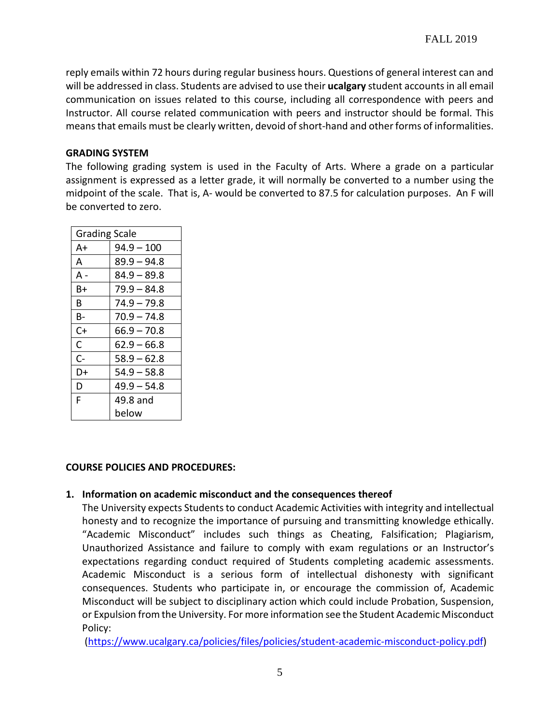reply emails within 72 hours during regular business hours. Questions of general interest can and will be addressed in class. Students are advised to use their **ucalgary** student accounts in all email communication on issues related to this course, including all correspondence with peers and Instructor. All course related communication with peers and instructor should be formal. This means that emails must be clearly written, devoid of short-hand and other forms of informalities.

#### **GRADING SYSTEM**

The following grading system is used in the Faculty of Arts. Where a grade on a particular assignment is expressed as a letter grade, it will normally be converted to a number using the midpoint of the scale. That is, A- would be converted to 87.5 for calculation purposes. An F will be converted to zero.

| <b>Grading Scale</b> |               |  |
|----------------------|---------------|--|
| A+                   | $94.9 - 100$  |  |
| A                    | $89.9 - 94.8$ |  |
| A -                  | $84.9 - 89.8$ |  |
| B+                   | $79.9 - 84.8$ |  |
| R.                   | $74.9 - 79.8$ |  |
| B-                   | $70.9 - 74.8$ |  |
| C+                   | $66.9 - 70.8$ |  |
| C                    | $62.9 - 66.8$ |  |
| $C-$                 | $58.9 - 62.8$ |  |
| D+                   | $54.9 - 58.8$ |  |
| D                    | $49.9 - 54.8$ |  |
| F                    | 49.8 and      |  |
|                      | below         |  |

## **COURSE POLICIES AND PROCEDURES:**

## **1. Information on academic misconduct and the consequences thereof**

The University expects Students to conduct Academic Activities with integrity and intellectual honesty and to recognize the importance of pursuing and transmitting knowledge ethically. "Academic Misconduct" includes such things as Cheating, Falsification; Plagiarism, Unauthorized Assistance and failure to comply with exam regulations or an Instructor's expectations regarding conduct required of Students completing academic assessments. Academic Misconduct is a serious form of intellectual dishonesty with significant consequences. Students who participate in, or encourage the commission of, Academic Misconduct will be subject to disciplinary action which could include Probation, Suspension, or Expulsion from the University. For more information see the Student Academic Misconduct Policy:

[\(https://www.ucalgary.ca/policies/files/policies/student-academic-misconduct-policy.pdf\)](https://www.ucalgary.ca/policies/files/policies/student-academic-misconduct-policy.pdf)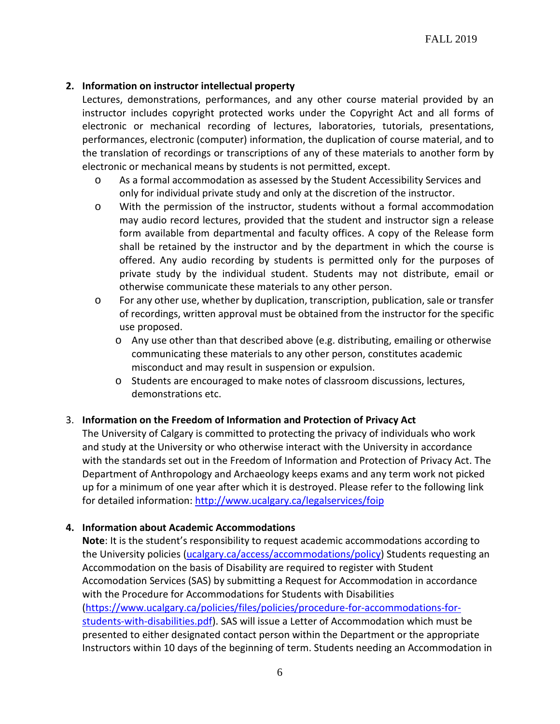## **2. Information on instructor intellectual property**

Lectures, demonstrations, performances, and any other course material provided by an instructor includes copyright protected works under the Copyright Act and all forms of electronic or mechanical recording of lectures, laboratories, tutorials, presentations, performances, electronic (computer) information, the duplication of course material, and to the translation of recordings or transcriptions of any of these materials to another form by electronic or mechanical means by students is not permitted, except.

- o As a formal accommodation as assessed by the Student Accessibility Services and only for individual private study and only at the discretion of the instructor.
- o With the permission of the instructor, students without a formal accommodation may audio record lectures, provided that the student and instructor sign a release form available from departmental and faculty offices. A copy of the Release form shall be retained by the instructor and by the department in which the course is offered. Any audio recording by students is permitted only for the purposes of private study by the individual student. Students may not distribute, email or otherwise communicate these materials to any other person.
- o For any other use, whether by duplication, transcription, publication, sale or transfer of recordings, written approval must be obtained from the instructor for the specific use proposed.
	- o Any use other than that described above (e.g. distributing, emailing or otherwise communicating these materials to any other person, constitutes academic misconduct and may result in suspension or expulsion.
	- o Students are encouraged to make notes of classroom discussions, lectures, demonstrations etc.

#### 3. **Information on the Freedom of Information and Protection of Privacy Act**

The University of Calgary is committed to protecting the privacy of individuals who work and study at the University or who otherwise interact with the University in accordance with the standards set out in the Freedom of Information and Protection of Privacy Act. The Department of Anthropology and Archaeology keeps exams and any term work not picked up for a minimum of one year after which it is destroyed. Please refer to the following link for detailed information:<http://www.ucalgary.ca/legalservices/foip>

#### **4. Information about Academic Accommodations**

**Note**: It is the student's responsibility to request academic accommodations according to the University policies [\(ucalgary.ca/access/accommodations/policy\)](https://ucalgary.ca/access/accommodations/policy) Students requesting an Accommodation on the basis of Disability are required to register with Student Accomodation Services (SAS) by submitting a Request for Accommodation in accordance with the Procedure for Accommodations for Students with Disabilities [\(https://www.ucalgary.ca/policies/files/policies/procedure-for-accommodations-for](https://www.ucalgary.ca/policies/files/policies/procedure-for-accommodations-for-students-with-disabilities.pdf)[students-with-disabilities.pdf\)](https://www.ucalgary.ca/policies/files/policies/procedure-for-accommodations-for-students-with-disabilities.pdf). SAS will issue a Letter of Accommodation which must be presented to either designated contact person within the Department or the appropriate Instructors within 10 days of the beginning of term. Students needing an Accommodation in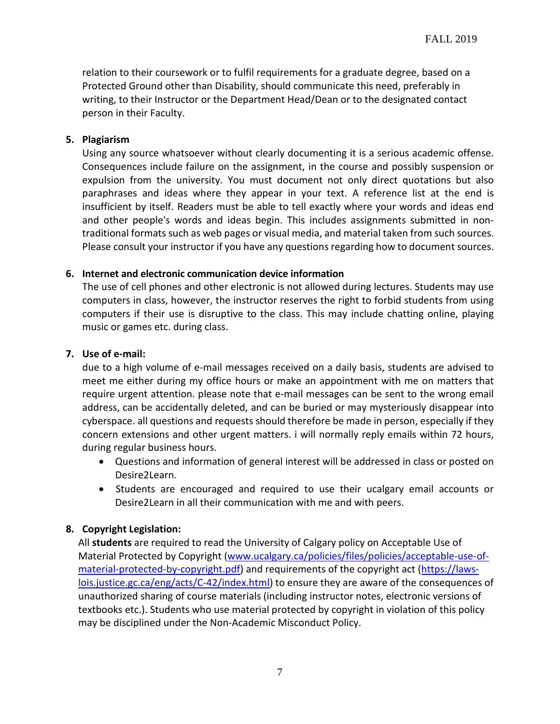relation to their coursework or to fulfil requirements for a graduate degree, based on a Protected Ground other than Disability, should communicate this need, preferably in writing, to their Instructor or the Department Head/Dean or to the designated contact person in their Faculty.

#### **5. Plagiarism**

Using any source whatsoever without clearly documenting it is a serious academic offense. Consequences include failure on the assignment, in the course and possibly suspension or expulsion from the university. You must document not only direct quotations but also paraphrases and ideas where they appear in your text. A reference list at the end is insufficient by itself. Readers must be able to tell exactly where your words and ideas end and other people's words and ideas begin. This includes assignments submitted in nontraditional formats such as web pages or visual media, and material taken from such sources. Please consult your instructor if you have any questions regarding how to document sources.

## **6. Internet and electronic communication device information**

The use of cell phones and other electronic is not allowed during lectures. Students may use computers in class, however, the instructor reserves the right to forbid students from using computers if their use is disruptive to the class. This may include chatting online, playing music or games etc. during class.

#### **7. Use of e-mail:**

due to a high volume of e-mail messages received on a daily basis, students are advised to meet me either during my office hours or make an appointment with me on matters that require urgent attention. please note that e-mail messages can be sent to the wrong email address, can be accidentally deleted, and can be buried or may mysteriously disappear into cyberspace. all questions and requests should therefore be made in person, especially if they concern extensions and other urgent matters. i will normally reply emails within 72 hours, during regular business hours.

- Questions and information of general interest will be addressed in class or posted on Desire2Learn.
- Students are encouraged and required to use their ucalgary email accounts or Desire2Learn in all their communication with me and with peers.

## **8. Copyright Legislation:**

All **students** are required to read the University of Calgary policy on Acceptable Use of Material Protected by Copyright [\(www.ucalgary.ca/policies/files/policies/acceptable-use-of](http://www.ucalgary.ca/policies/files/policies/acceptable-use-of-material-protected-by-copyright.pdf)[material-protected-by-copyright.pdf\)](http://www.ucalgary.ca/policies/files/policies/acceptable-use-of-material-protected-by-copyright.pdf) and requirements of the copyright act [\(https://laws](https://laws-lois.justice.gc.ca/eng/acts/C-42/index.html)[lois.justice.gc.ca/eng/acts/C-42/index.html\)](https://laws-lois.justice.gc.ca/eng/acts/C-42/index.html) to ensure they are aware of the consequences of unauthorized sharing of course materials (including instructor notes, electronic versions of textbooks etc.). Students who use material protected by copyright in violation of this policy may be disciplined under the Non-Academic Misconduct Policy.